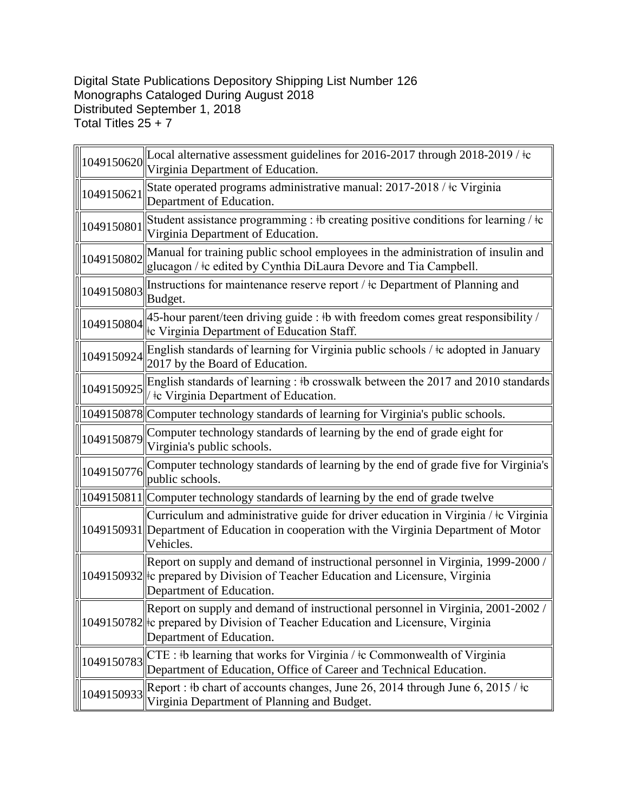## Digital State Publications Depository Shipping List Number 126 Monographs Cataloged During August 2018 Distributed September 1, 2018 Total Titles 25 + 7

|            | $\ $ 1049150620 Local alternative assessment guidelines for 2016-2017 through 2018-2019 / $\pm$<br>Virginia Department of Education.                                                           |
|------------|------------------------------------------------------------------------------------------------------------------------------------------------------------------------------------------------|
| 1049150621 | State operated programs administrative manual: 2017-2018 / ‡c Virginia<br>Department of Education.                                                                                             |
| 1049150801 | Student assistance programming : #b creating positive conditions for learning / $\pm c$<br>Virginia Department of Education.                                                                   |
| 1049150802 | Manual for training public school employees in the administration of insulin and<br>glucagon / ‡c edited by Cynthia DiLaura Devore and Tia Campbell.                                           |
| 1049150803 | Instructions for maintenance reserve report / ‡c Department of Planning and<br>Budget.                                                                                                         |
| 1049150804 | 45-hour parent/teen driving guide : #b with freedom comes great responsibility /<br>tc Virginia Department of Education Staff.                                                                 |
| 1049150924 | English standards of learning for Virginia public schools / ‡c adopted in January<br>2017 by the Board of Education.                                                                           |
| 1049150925 | English standards of learning : #b crosswalk between the 2017 and 2010 standards<br>te Virginia Department of Education.                                                                       |
|            | 1049150878 Computer technology standards of learning for Virginia's public schools.                                                                                                            |
| 1049150879 | Computer technology standards of learning by the end of grade eight for<br>Virginia's public schools.                                                                                          |
| 1049150776 | Computer technology standards of learning by the end of grade five for Virginia's<br>public schools.                                                                                           |
|            | 1049150811  Computer technology standards of learning by the end of grade twelve                                                                                                               |
|            | Curriculum and administrative guide for driver education in Virginia / ‡c Virginia<br>1049150931 Department of Education in cooperation with the Virginia Department of Motor<br>Vehicles.     |
|            | Report on supply and demand of instructional personnel in Virginia, 1999-2000/<br>1049150932 Fe prepared by Division of Teacher Education and Licensure, Virginia<br>Department of Education.  |
|            | Report on supply and demand of instructional personnel in Virginia, 2001-2002 /<br>1049150782 Fe prepared by Division of Teacher Education and Licensure, Virginia<br>Department of Education. |
| 1049150783 | $CTE:$ +b learning that works for Virginia / $\pm c$ Commonwealth of Virginia<br>Department of Education, Office of Career and Technical Education.                                            |
| 1049150933 | Report: #b chart of accounts changes, June 26, 2014 through June 6, 2015 / $\pm c$<br>Virginia Department of Planning and Budget.                                                              |